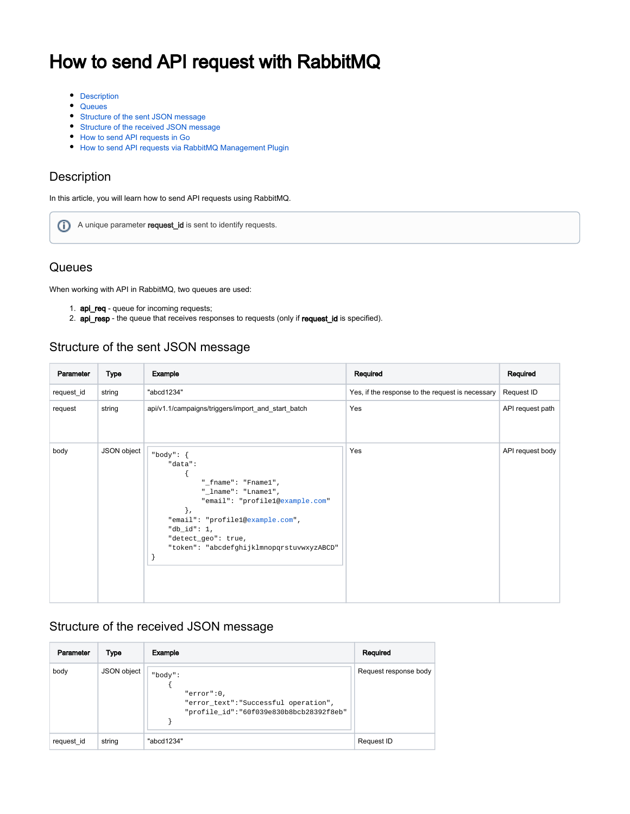# How to send API request with RabbitMQ

- [Description](#page-0-0)
- [Queues](#page-0-1)
- [Structure of the sent JSON message](#page-0-2)
- [Structure of the received JSON message](#page-0-3)
- [How to send API requests in Go](#page-0-4)
- [How to send API requests via RabbitMQ Management Plugin](#page-3-0)

#### <span id="page-0-0"></span>Description

In this article, you will learn how to send API requests using RabbitMQ.

A unique parameter request\_id is sent to identify requests.

### <span id="page-0-1"></span>**Queues**

When working with API in RabbitMQ, two queues are used:

- 1. **api\_req** queue for incoming requests;
- 2. **api\_resp** the queue that receives responses to requests (only if request\_id is specified).

### <span id="page-0-2"></span>Structure of the sent JSON message

| Parameter  | <b>Type</b> | Example                                                                                                                                                                                                                                         | Required                                         | Required         |
|------------|-------------|-------------------------------------------------------------------------------------------------------------------------------------------------------------------------------------------------------------------------------------------------|--------------------------------------------------|------------------|
| request_id | string      | "abcd1234"                                                                                                                                                                                                                                      | Yes, if the response to the request is necessary | Request ID       |
| request    | string      | api/v1.1/campaigns/triggers/import_and_start_batch                                                                                                                                                                                              | Yes                                              | API request path |
| body       | JSON object | "body": $\{$<br>"data":<br>"_fname": "Fname $1$ ",<br>"_lname": "Lname1",<br>"email": "profile1@example.com"<br>$\}$ ,<br>"email": "profilel@example.com",<br>"db_id": $1,$<br>"detect_geo": true,<br>"token": "abcdefghijklmnopqrstuvwxyzABCD" | Yes                                              | API request body |

### <span id="page-0-3"></span>Structure of the received JSON message

<span id="page-0-4"></span>

| Parameter  | Type        | Example                                                                                                   | Required              |
|------------|-------------|-----------------------------------------------------------------------------------------------------------|-----------------------|
| body       | JSON object | "body":<br>"error":0.<br>"error_text": "Successful operation",<br>"profile_id":"60f039e830b8bcb28392f8eb" | Request response body |
| request id | string      | "abcd1234"                                                                                                | Request ID            |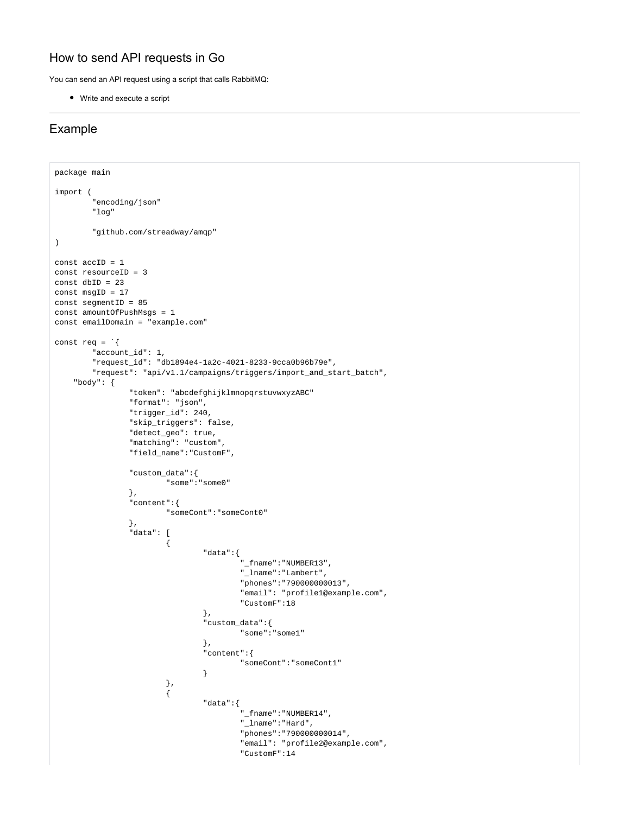# How to send API requests in Go

You can send an API request using a script that calls RabbitMQ:

Write and execute a script

#### Example

```
package main
import (
        "encoding/json"
        "log"
        "github.com/streadway/amqp"
)
const accID = 1
const resourceID = 3
const dbID = 23
const msgID = 17
const segmentID = 85
const amountOfPushMsgs = 1
const emailDomain = "example.com"
const req = \i "account_id": 1,
        "request_id": "db1894e4-1a2c-4021-8233-9cca0b96b79e",
        "request": "api/v1.1/campaigns/triggers/import_and_start_batch",
    "body": {
                "token": "abcdefghijklmnopqrstuvwxyzABC"
                "format": "json",
                "trigger_id": 240,
                "skip_triggers": false,
                "detect_geo": true,
                "matching": "custom",
                "field_name":"CustomF",
                "custom_data":{
                        "some":"some0"
                },
                 "content":{
                        "someCont":"someCont0"
                },
                "data": [
\{ "data":{
                                        "_fname":"NUMBER13",
                                        "_lname":"Lambert",
                                        "phones":"790000000013",
                                        "email": "profile1@example.com",
                                        "CustomF":18
\} , we have the contract of \{ \} ,
                                 "custom_data":{
                                        "some":"some1"
\} , we have the contract of \{ \} ,
                                "content":{
                                       "someCont":"someCont1"
 }
, and the contract of \{ \} , \{ \}\{ "data":{
                                        "_fname":"NUMBER14",
                                        "_lname":"Hard",
                                        "phones":"790000000014",
                                        "email": "profile2@example.com",
                                        "CustomF":14
```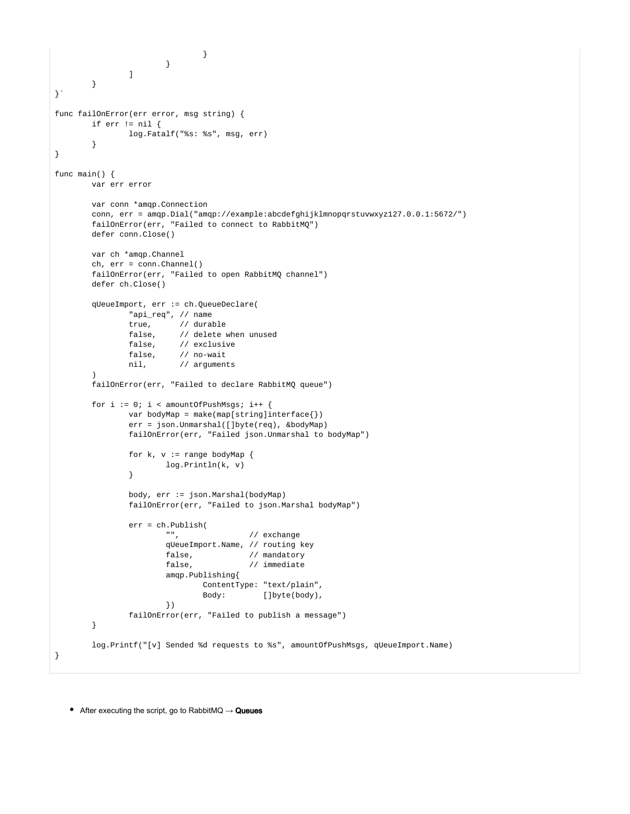```
 }
                       }
              \Box }
}`
func failOnError(err error, msg string) {
        if err != nil {
                log.Fatalf("%s: %s", msg, err)
        }
}
func main() {
        var err error
        var conn *amqp.Connection
        conn, err = amqp.Dial("amqp://example:abcdefghijklmnopqrstuvwxyz127.0.0.1:5672/")
        failOnError(err, "Failed to connect to RabbitMQ")
        defer conn.Close()
        var ch *amqp.Channel
        ch, err = conn.Channel()
        failOnError(err, "Failed to open RabbitMQ channel")
        defer ch.Close()
        qUeueImport, err := ch.QueueDeclare(
                "api_req", // name
                true, // durable
                false, // delete when unused
                false, // exclusive
                false, // no-wait
                nil, // arguments
\overline{\phantom{a}} failOnError(err, "Failed to declare RabbitMQ queue")
       for i := 0; i < amountOfPushMsqs; i++ {
               var bodyMap = make(map[string]interface{}{}})
                err = json.Unmarshal([]byte(req), &bodyMap)
                failOnError(err, "Failed json.Unmarshal to bodyMap")
               for k, v := range bodyMap {
                        log.Println(k, v)
 }
                body, err := json.Marshal(bodyMap)
                failOnError(err, "Failed to json.Marshal bodyMap")
                err = ch.Publish(
                        "", // exchange
                        qUeueImport.Name, // routing key
                       false, \frac{1}{2} // mandatory
                       false, \frac{1}{2} // immediate
                        amqp.Publishing{
                                ContentType: "text/plain",
                               Body: []byte(body),
 })
                failOnError(err, "Failed to publish a message")
         }
        log.Printf("[v] Sended %d requests to %s", amountOfPushMsgs, qUeueImport.Name)
}
```
• After executing the script, go to RabbitMQ  $\rightarrow$  Queues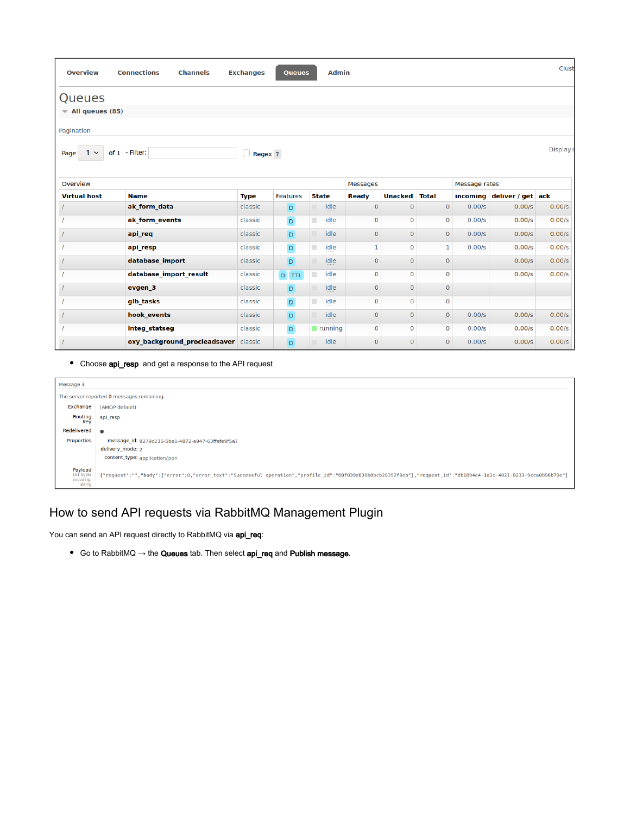| <b>Overview</b>                                                     | <b>Connections</b><br><b>Channels</b> | <b>Exchanges</b> | <b>Queues</b>   | <b>Admin</b>           |                     |                |              |                      |                            | Clust  |
|---------------------------------------------------------------------|---------------------------------------|------------------|-----------------|------------------------|---------------------|----------------|--------------|----------------------|----------------------------|--------|
| Queues                                                              |                                       |                  |                 |                        |                     |                |              |                      |                            |        |
| $\blacktriangledown$ All queues (85)                                |                                       |                  |                 |                        |                     |                |              |                      |                            |        |
| Pagination                                                          |                                       |                  |                 |                        |                     |                |              |                      |                            |        |
| Displayi<br>of 1 - Filter:<br>$\Box$ Regex ?<br>Page<br>$\check{~}$ |                                       |                  |                 |                        |                     |                |              |                      |                            |        |
| Overview                                                            |                                       |                  |                 |                        | <b>Messages</b>     |                |              | <b>Message rates</b> |                            |        |
| <b>Virtual host</b>                                                 | <b>Name</b>                           | <b>Type</b>      | <b>Features</b> | <b>State</b>           | <b>Ready</b>        | <b>Unacked</b> | <b>Total</b> |                      | incoming deliver / get ack |        |
|                                                                     | ak form data                          | classic          | D               | idle                   | $\mathbf 0$         | $\mathbf{0}$   | $\mathbf{0}$ | 0.00/s               | 0.00/s                     | 0.00/s |
|                                                                     | ak form events                        | classic          | $\mathsf D$     | idle<br>٠              | $\mathbf 0$         | $\mathbf 0$    | $\mathbf 0$  | 0.00/s               | 0.00/s                     | 0.00/s |
|                                                                     | api req                               | classic          | D               | idle                   | $\mathbf{O}$        | $\mathbf{O}$   | $\mathbf{0}$ | 0.00/s               | 0.00/s                     | 0.00/s |
|                                                                     | api_resp                              | classic          | $\mathsf D$     | ٠<br>idle              | $\mathbf{1}$        | $\mathbf 0$    | $\mathbf{1}$ | 0.00/s               | 0.00/s                     | 0.00/s |
|                                                                     | database_import                       | classic          | D               | idle                   | $\mathsf{O}\xspace$ | $\mathbf{O}$   | $\mathbf 0$  |                      | 0.00/s                     | 0.00/s |
|                                                                     | database import result                | classic          | D TTL           | idle                   | 0                   | $\mathbf 0$    | $\mathbf 0$  |                      | 0.00/s                     | 0.00/s |
|                                                                     | evgen 3                               | classic          | D               | idle                   | $\mathbf 0$         | $\mathbf{0}$   | $\mathbf{0}$ |                      |                            |        |
|                                                                     | glb tasks                             | classic          | $\mathsf D$     | ٠<br>idle              | 0                   | $\mathbf 0$    | $\mathbf 0$  |                      |                            |        |
|                                                                     | hook events                           | classic          | $\Box$          | idle                   | $\mathbf 0$         | $\mathbf{0}$   | $\mathbf{O}$ | 0.00/s               | 0.00/s                     | 0.00/s |
|                                                                     | integ statseg                         | classic          | $\mathsf D$     | $\blacksquare$ running | $\mathbf 0$         | $\mathbf 0$    | $\mathbf 0$  | 0.00/s               | 0.00/s                     | 0.00/s |
|                                                                     | oxy background procleadsaver classic  |                  | D.              | idle                   | 0                   | $\Omega$       | $\mathbf 0$  | 0.00/s               | 0.00/s                     | 0.00/s |

• Choose api\_resp and get a response to the API request

| Message 3                                          |                                                                                                                                                                   |  |  |  |
|----------------------------------------------------|-------------------------------------------------------------------------------------------------------------------------------------------------------------------|--|--|--|
|                                                    | The server reported 0 messages remaining.                                                                                                                         |  |  |  |
| Exchange                                           | (AMOP default)                                                                                                                                                    |  |  |  |
| Routing<br>Key                                     | api resp                                                                                                                                                          |  |  |  |
| Redelivered <b>e</b>                               |                                                                                                                                                                   |  |  |  |
| Properties                                         | message_id: 9279c236-5be1-4872-a947-63ffafe9f5a7                                                                                                                  |  |  |  |
|                                                    | delivery mode: 2                                                                                                                                                  |  |  |  |
|                                                    | content_type: application/json                                                                                                                                    |  |  |  |
| <b>Payload</b><br>161 bytes<br>Encoding:<br>string | {"request":"","body":{"error":0,"error text":"Successful operation","profile id":"60f039e830b8bcb28392f8eb"},"request id":"db1894e4-1a2c-4021-8233-9cca0b96b79e"} |  |  |  |

# <span id="page-3-0"></span>How to send API requests via RabbitMQ Management Plugin

You can send an API request directly to RabbitMQ via **api\_req**:

● Go to RabbitMQ → the Queues tab. Then select api\_req and Publish message.